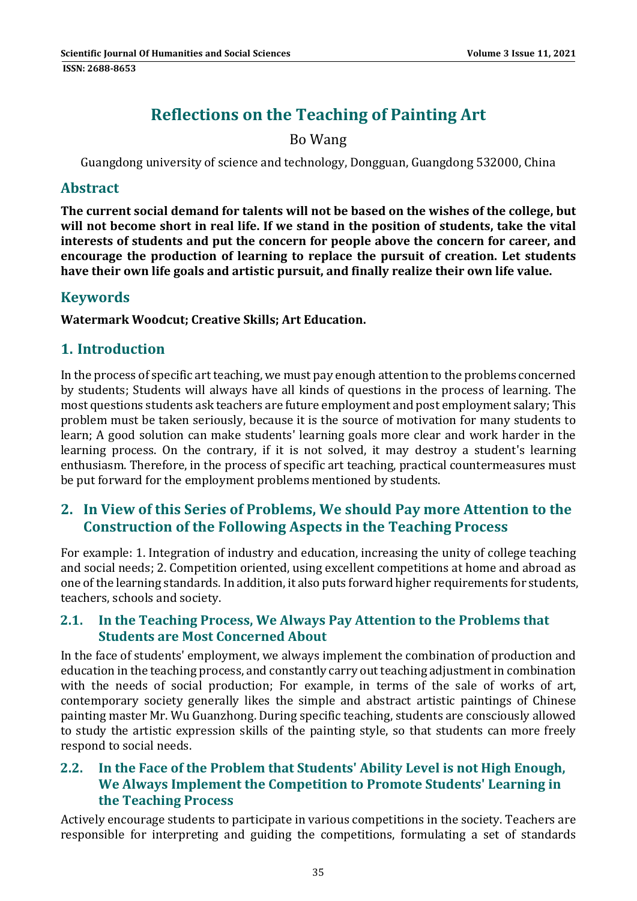# **Reflections on the Teaching of Painting Art**

## Bo Wang

Guangdong university of science and technology, Dongguan, Guangdong 532000, China

#### **Abstract**

**The current social demand for talents will not be based on the wishes of the college, but will not become short in real life. If we stand in the position of students, take the vital interests of students and put the concern for people above the concern for career, and encourage the production of learning to replace the pursuit of creation. Let students have their own life goals and artistic pursuit, and finally realize their own life value.**

#### **Keywords**

**Watermark Woodcut; Creative Skills; Art Education.**

## **1. Introduction**

In the process of specific art teaching, we must pay enough attention to the problems concerned by students; Students will always have all kinds of questions in the process of learning. The most questions students ask teachers are future employment and post employment salary; This problem must be taken seriously, because it is the source of motivation for many students to learn; A good solution can make students' learning goals more clear and work harder in the learning process. On the contrary, if it is not solved, it may destroy a student's learning enthusiasm. Therefore, in the process of specific art teaching, practical countermeasures must be put forward for the employment problems mentioned by students.

### **2. In View of this Series of Problems, We should Pay more Attention to the Construction of the Following Aspects in the Teaching Process**

For example: 1. Integration of industry and education, increasing the unity of college teaching and social needs; 2. Competition oriented, using excellent competitions at home and abroad as one of the learning standards. In addition, it also puts forward higher requirements for students, teachers, schools and society.

#### **2.1. In the Teaching Process, We Always Pay Attention to the Problems that Students are Most Concerned About**

In the face of students' employment, we always implement the combination of production and education in the teaching process, and constantly carry out teaching adjustment in combination with the needs of social production; For example, in terms of the sale of works of art, contemporary society generally likes the simple and abstract artistic paintings of Chinese painting master Mr. Wu Guanzhong. During specific teaching, students are consciously allowed to study the artistic expression skills of the painting style, so that students can more freely respond to social needs.

#### **2.2. In the Face of the Problem that Students' Ability Level is not High Enough, We Always Implement the Competition to Promote Students' Learning in the Teaching Process**

Actively encourage students to participate in various competitions in the society. Teachers are responsible for interpreting and guiding the competitions, formulating a set of standards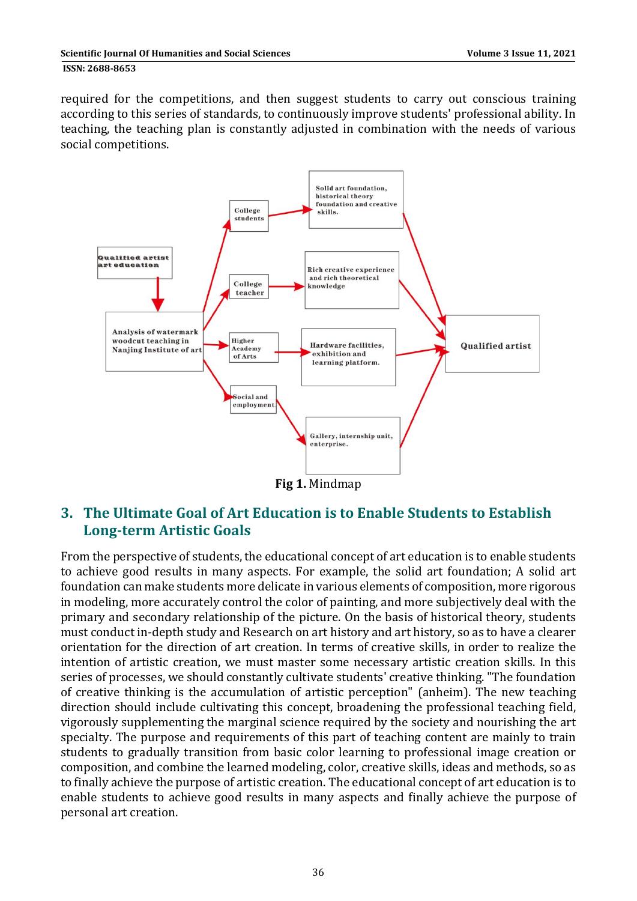**ISSN: 2688-8653** 

required for the competitions, and then suggest students to carry out conscious training according to this series of standards, to continuously improve students' professional ability. In teaching, the teaching plan is constantly adjusted in combination with the needs of various social competitions.



**Fig 1.** Mindmap 

# **3. The Ultimate Goal of Art Education is to Enable Students to Establish Long‐term Artistic Goals**

From the perspective of students, the educational concept of art education is to enable students to achieve good results in many aspects. For example, the solid art foundation; A solid art foundation can make students more delicate in various elements of composition, more rigorous in modeling, more accurately control the color of painting, and more subjectively deal with the primary and secondary relationship of the picture. On the basis of historical theory, students must conduct in-depth study and Research on art history and art history, so as to have a clearer orientation for the direction of art creation. In terms of creative skills, in order to realize the intention of artistic creation, we must master some necessary artistic creation skills. In this series of processes, we should constantly cultivate students' creative thinking. "The foundation of creative thinking is the accumulation of artistic perception" (anheim). The new teaching direction should include cultivating this concept, broadening the professional teaching field, vigorously supplementing the marginal science required by the society and nourishing the art specialty. The purpose and requirements of this part of teaching content are mainly to train students to gradually transition from basic color learning to professional image creation or composition, and combine the learned modeling, color, creative skills, ideas and methods, so as to finally achieve the purpose of artistic creation. The educational concept of art education is to enable students to achieve good results in many aspects and finally achieve the purpose of personal art creation.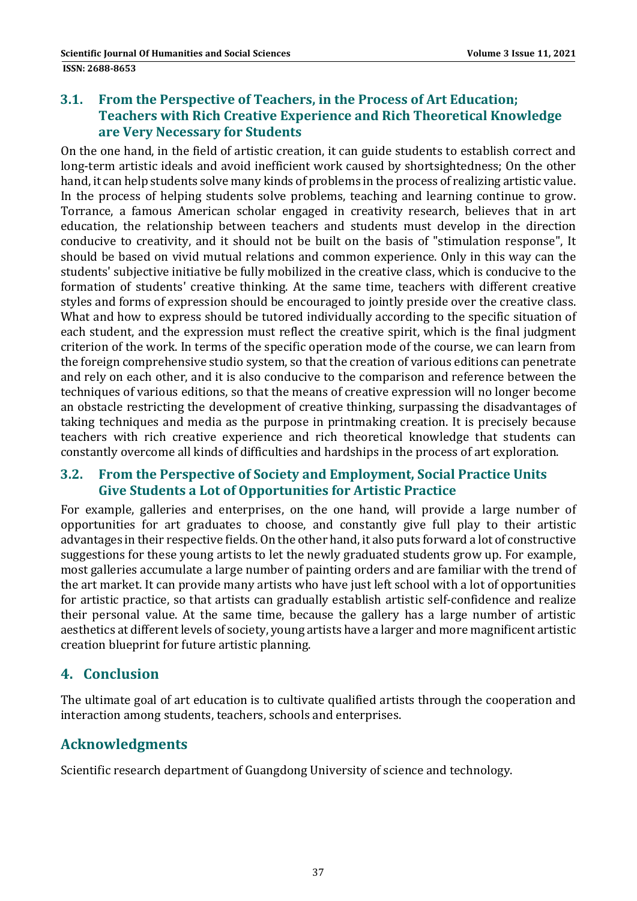#### **3.1. From the Perspective of Teachers, in the Process of Art Education; Teachers with Rich Creative Experience and Rich Theoretical Knowledge are Very Necessary for Students**

On the one hand, in the field of artistic creation, it can guide students to establish correct and long-term artistic ideals and avoid inefficient work caused by shortsightedness; On the other hand, it can help students solve many kinds of problems in the process of realizing artistic value. In the process of helping students solve problems, teaching and learning continue to grow. Torrance, a famous American scholar engaged in creativity research, believes that in art education, the relationship between teachers and students must develop in the direction conducive to creativity, and it should not be built on the basis of "stimulation response", It should be based on vivid mutual relations and common experience. Only in this way can the students' subjective initiative be fully mobilized in the creative class, which is conducive to the formation of students' creative thinking. At the same time, teachers with different creative styles and forms of expression should be encouraged to jointly preside over the creative class. What and how to express should be tutored individually according to the specific situation of each student, and the expression must reflect the creative spirit, which is the final judgment criterion of the work. In terms of the specific operation mode of the course, we can learn from the foreign comprehensive studio system, so that the creation of various editions can penetrate and rely on each other, and it is also conducive to the comparison and reference between the techniques of various editions, so that the means of creative expression will no longer become an obstacle restricting the development of creative thinking, surpassing the disadvantages of taking techniques and media as the purpose in printmaking creation. It is precisely because teachers with rich creative experience and rich theoretical knowledge that students can constantly overcome all kinds of difficulties and hardships in the process of art exploration.

#### **3.2. From the Perspective of Society and Employment, Social Practice Units Give Students a Lot of Opportunities for Artistic Practice**

For example, galleries and enterprises, on the one hand, will provide a large number of opportunities for art graduates to choose, and constantly give full play to their artistic advantages in their respective fields. On the other hand, it also puts forward a lot of constructive suggestions for these young artists to let the newly graduated students grow up. For example, most galleries accumulate a large number of painting orders and are familiar with the trend of the art market. It can provide many artists who have just left school with a lot of opportunities for artistic practice, so that artists can gradually establish artistic self-confidence and realize their personal value. At the same time, because the gallery has a large number of artistic aesthetics at different levels of society, young artists have a larger and more magnificent artistic creation blueprint for future artistic planning.

# **4. Conclusion**

The ultimate goal of art education is to cultivate qualified artists through the cooperation and interaction among students, teachers, schools and enterprises.

# **Acknowledgments**

Scientific research department of Guangdong University of science and technology.